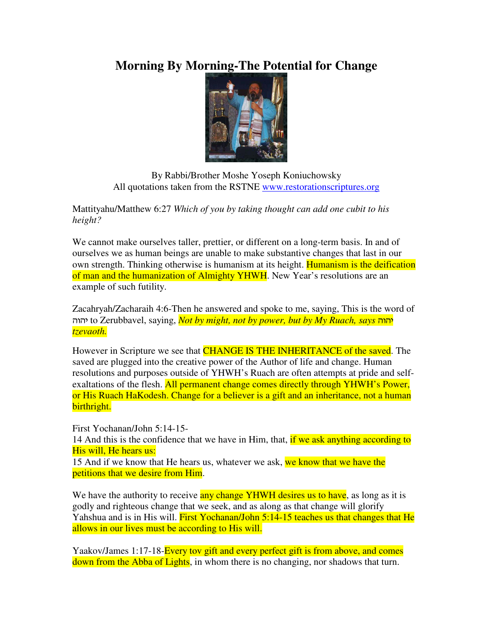## **Morning By Morning-The Potential for Change**



By Rabbi/Brother Moshe Yoseph Koniuchowsky All quotations taken from the RSTNE www.restorationscriptures.org

Mattityahu/Matthew 6:27 *Which of you by taking thought can add one cubit to his height?* 

We cannot make ourselves taller, prettier, or different on a long-term basis. In and of ourselves we as human beings are unable to make substantive changes that last in our own strength. Thinking otherwise is humanism at its height. Humanism is the deification of man and the humanization of Almighty YHWH. New Year's resolutions are an example of such futility.

Zacahryah/Zacharaih 4:6-Then he answered and spoke to me, saying, This is the word of vuvh to Zerubbavel, saying, *Not by might, not by power, but by My Ruach, says* vuvh *tzevaoth.* 

However in Scripture we see that **CHANGE IS THE INHERITANCE** of the saved. The saved are plugged into the creative power of the Author of life and change. Human resolutions and purposes outside of YHWH's Ruach are often attempts at pride and selfexaltations of the flesh. All permanent change comes directly through YHWH's Power, or His Ruach HaKodesh. Change for a believer is a gift and an inheritance, not a human birthright.

First Yochanan/John 5:14-15-

14 And this is the confidence that we have in Him, that, if we ask anything according to His will, He hears us:

15 And if we know that He hears us, whatever we ask, we know that we have the petitions that we desire from Him.

We have the authority to receive any change YHWH desires us to have, as long as it is godly and righteous change that we seek, and as along as that change will glorify Yahshua and is in His will. First Yochanan/John 5:14-15 teaches us that changes that He allows in our lives must be according to His will.

Yaakov/James 1:17-18-Every tov gift and every perfect gift is from above, and comes down from the Abba of Lights, in whom there is no changing, nor shadows that turn.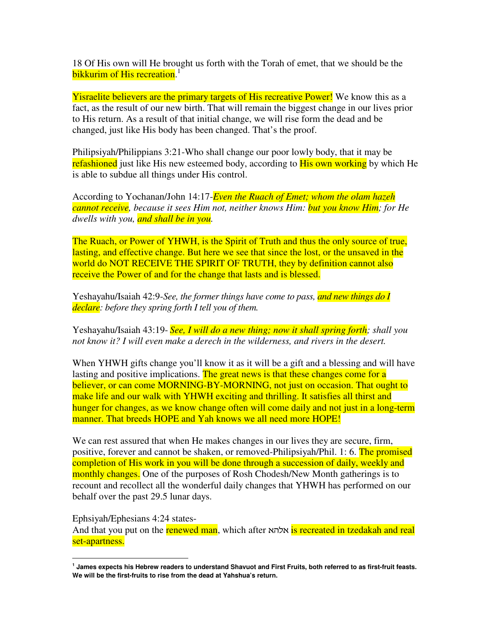18 Of His own will He brought us forth with the Torah of emet, that we should be the bikkurim of His recreation.<sup>1</sup>

**Yisraelite believers are the primary targets of His recreative Power!** We know this as a fact, as the result of our new birth. That will remain the biggest change in our lives prior to His return. As a result of that initial change, we will rise form the dead and be changed, just like His body has been changed. That's the proof.

Philipsiyah/Philippians 3:21-Who shall change our poor lowly body, that it may be refashioned just like His new esteemed body, according to **His own working** by which He is able to subdue all things under His control.

According to Yochanan/John 14:17-*Even the Ruach of Emet; whom the olam hazeh cannot receive, because it sees Him not, neither knows Him: but you know Him; for He dwells with you, and shall be in you.*

The Ruach, or Power of YHWH, is the Spirit of Truth and thus the only source of true, lasting, and effective change. But here we see that since the lost, or the unsaved in the world do NOT RECEIVE THE SPIRIT OF TRUTH, they by definition cannot also receive the Power of and for the change that lasts and is blessed.

Yeshayahu/Isaiah 42:9-*See, the former things have come to pass, and new things do I declare: before they spring forth I tell you of them.*

Yeshayahu/Isaiah 43:19- *See, I will do a new thing; now it shall spring forth; shall you not know it? I will even make a derech in the wilderness, and rivers in the desert.*

When YHWH gifts change you'll know it as it will be a gift and a blessing and will have lasting and positive implications. The great news is that these changes come for a believer, or can come MORNING-BY-MORNING, not just on occasion. That ought to make life and our walk with YHWH exciting and thrilling. It satisfies all thirst and hunger for changes, as we know change often will come daily and not just in a long-term manner. That breeds HOPE and Yah knows we all need more HOPE!

We can rest assured that when He makes changes in our lives they are secure, firm, positive, forever and cannot be shaken, or removed-Philipsiyah/Phil. 1: 6. The promised completion of His work in you will be done through a succession of daily, weekly and monthly changes. One of the purposes of Rosh Chodesh/New Month gatherings is to recount and recollect all the wonderful daily changes that YHWH has performed on our behalf over the past 29.5 lunar days.

Ephsiyah/Ephesians 4:24 states-

 $\overline{a}$ 

And that you put on the renewed man, which after אלהא is recreated in tzedakah and real set-apartness.

**<sup>1</sup> James expects his Hebrew readers to understand Shavuot and First Fruits, both referred to as first-fruit feasts. We will be the first-fruits to rise from the dead at Yahshua's return.**